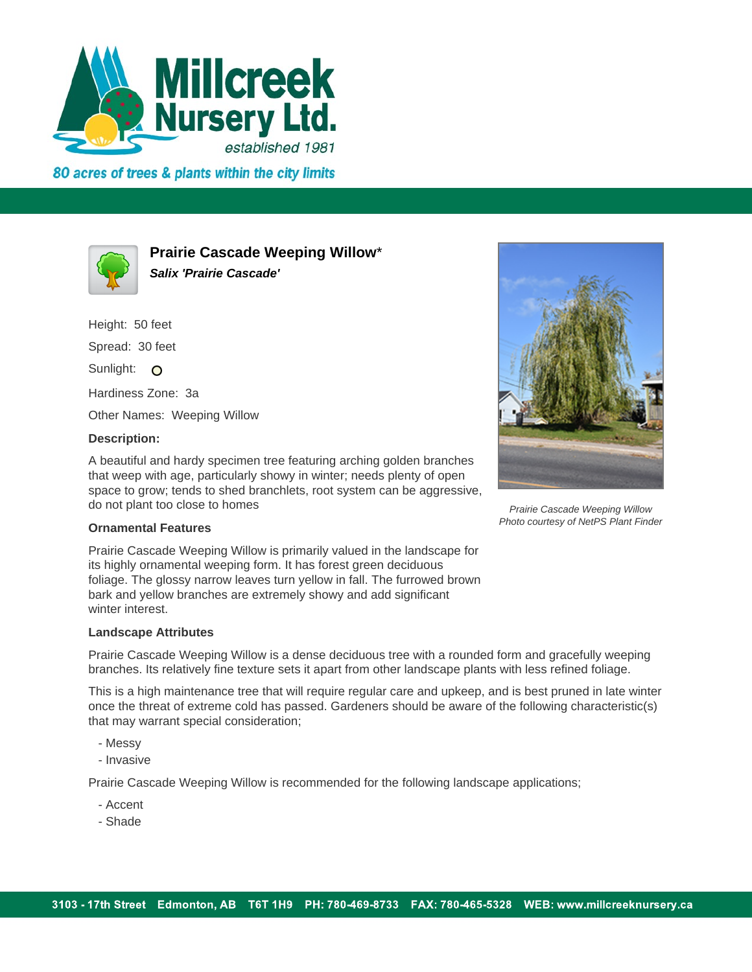

80 acres of trees & plants within the city limits



**Prairie Cascade Weeping Willow**\* **Salix 'Prairie Cascade'**

Height: 50 feet Spread: 30 feet Sunlight: O Hardiness Zone: 3a Other Names: Weeping Willow

## **Description:**

A beautiful and hardy specimen tree featuring arching golden branches that weep with age, particularly showy in winter; needs plenty of open space to grow; tends to shed branchlets, root system can be aggressive, do not plant too close to homes



Prairie Cascade Weeping Willow Photo courtesy of NetPS Plant Finder

## **Ornamental Features**

Prairie Cascade Weeping Willow is primarily valued in the landscape for its highly ornamental weeping form. It has forest green deciduous foliage. The glossy narrow leaves turn yellow in fall. The furrowed brown bark and yellow branches are extremely showy and add significant winter interest.

## **Landscape Attributes**

Prairie Cascade Weeping Willow is a dense deciduous tree with a rounded form and gracefully weeping branches. Its relatively fine texture sets it apart from other landscape plants with less refined foliage.

This is a high maintenance tree that will require regular care and upkeep, and is best pruned in late winter once the threat of extreme cold has passed. Gardeners should be aware of the following characteristic(s) that may warrant special consideration;

- Messy
- Invasive

Prairie Cascade Weeping Willow is recommended for the following landscape applications;

- Accent
- Shade